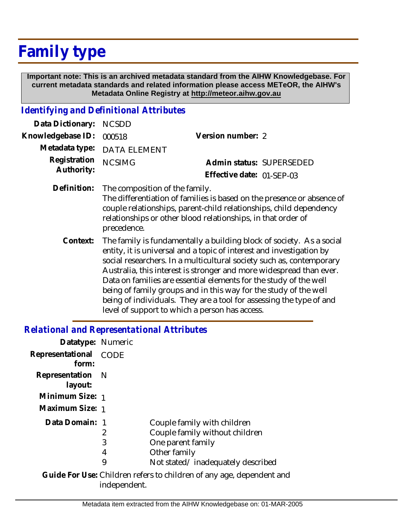## **Family type**

 **Important note: This is an archived metadata standard from the AIHW Knowledgebase. For current metadata standards and related information please access METeOR, the AIHW's Metadata Online Registry at http://meteor.aihw.gov.au**

## *Identifying and Definitional Attributes*

| Data Dictionary: NCSDD            |                                            |                           |  |
|-----------------------------------|--------------------------------------------|---------------------------|--|
| Knowledgebase ID: 000518          |                                            | Version number: 2         |  |
|                                   | Metadata type: DATA ELEMENT                |                           |  |
| Registration NCSIMG<br>Authority: |                                            | Admin status: SUPERSEDED  |  |
|                                   |                                            | Effective date: 01-SEP-03 |  |
|                                   | Definition: The composition of the family. |                           |  |

The differentiation of families is based on the presence or absence of couple relationships, parent-child relationships, child dependency relationships or other blood relationships, in that order of precedence.

The family is fundamentally a building block of society. As a social entity, it is universal and a topic of interest and investigation by social researchers. In a multicultural society such as, contemporary Australia, this interest is stronger and more widespread than ever. Data on families are essential elements for the study of the well being of family groups and in this way for the study of the well being of individuals. They are a tool for assessing the type of and level of support to which a person has access. **Context:**

## *Relational and Representational Attributes*

| Datatype: Numeric              |                  |                                                                                                                                         |
|--------------------------------|------------------|-----------------------------------------------------------------------------------------------------------------------------------------|
| Representational CODE<br>form: |                  |                                                                                                                                         |
| Representation N<br>layout:    |                  |                                                                                                                                         |
| Minimum Size: 1                |                  |                                                                                                                                         |
| Maximum Size: 1                |                  |                                                                                                                                         |
| Data Domain: 1                 | 2<br>3<br>4<br>9 | Couple family with children<br>Couple family without children<br>One parent family<br>Other family<br>Not stated/inadequately described |
|                                |                  |                                                                                                                                         |

Guide For Use: Children refers to children of any age, dependent and independent.